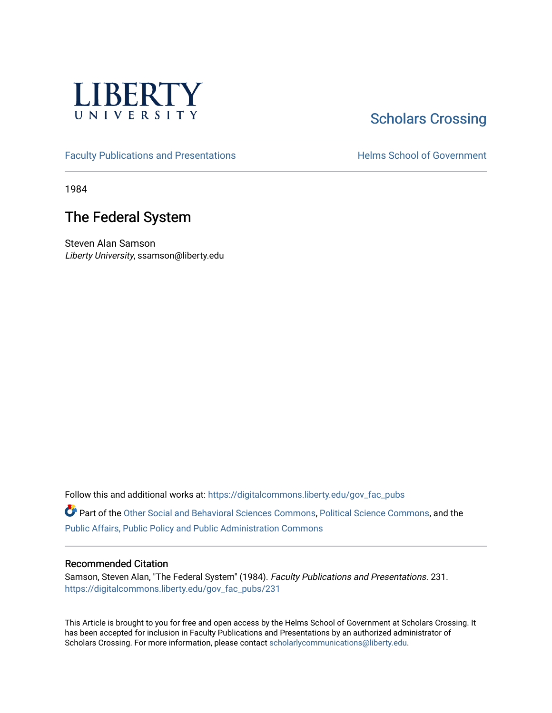

# **Scholars Crossing**

[Faculty Publications and Presentations](https://digitalcommons.liberty.edu/gov_fac_pubs) **Exercise School of Government** 

1984

## The Federal System

Steven Alan Samson Liberty University, ssamson@liberty.edu

Follow this and additional works at: [https://digitalcommons.liberty.edu/gov\\_fac\\_pubs](https://digitalcommons.liberty.edu/gov_fac_pubs?utm_source=digitalcommons.liberty.edu%2Fgov_fac_pubs%2F231&utm_medium=PDF&utm_campaign=PDFCoverPages)

Part of the [Other Social and Behavioral Sciences Commons](http://network.bepress.com/hgg/discipline/437?utm_source=digitalcommons.liberty.edu%2Fgov_fac_pubs%2F231&utm_medium=PDF&utm_campaign=PDFCoverPages), [Political Science Commons](http://network.bepress.com/hgg/discipline/386?utm_source=digitalcommons.liberty.edu%2Fgov_fac_pubs%2F231&utm_medium=PDF&utm_campaign=PDFCoverPages), and the [Public Affairs, Public Policy and Public Administration Commons](http://network.bepress.com/hgg/discipline/393?utm_source=digitalcommons.liberty.edu%2Fgov_fac_pubs%2F231&utm_medium=PDF&utm_campaign=PDFCoverPages)

#### Recommended Citation

Samson, Steven Alan, "The Federal System" (1984). Faculty Publications and Presentations. 231. [https://digitalcommons.liberty.edu/gov\\_fac\\_pubs/231](https://digitalcommons.liberty.edu/gov_fac_pubs/231?utm_source=digitalcommons.liberty.edu%2Fgov_fac_pubs%2F231&utm_medium=PDF&utm_campaign=PDFCoverPages)

This Article is brought to you for free and open access by the Helms School of Government at Scholars Crossing. It has been accepted for inclusion in Faculty Publications and Presentations by an authorized administrator of Scholars Crossing. For more information, please contact [scholarlycommunications@liberty.edu.](mailto:scholarlycommunications@liberty.edu)